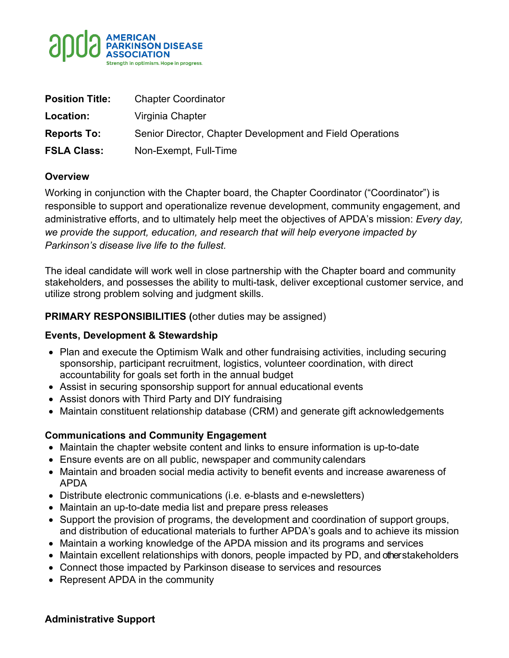

| <b>Position Title:</b> | <b>Chapter Coordinator</b>                                |
|------------------------|-----------------------------------------------------------|
| Location:              | Virginia Chapter                                          |
| <b>Reports To:</b>     | Senior Director, Chapter Development and Field Operations |
| <b>FSLA Class:</b>     | Non-Exempt, Full-Time                                     |

### **Overview**

Working in conjunction with the Chapter board, the Chapter Coordinator ("Coordinator") is responsible to support and operationalize revenue development, community engagement, and administrative efforts, and to ultimately help meet the objectives of APDA's mission: *Every day, we provide the support, education, and research that will help everyone impacted by Parkinson's disease live life to the fullest.*

The ideal candidate will work well in close partnership with the Chapter board and community stakeholders, and possesses the ability to multi-task, deliver exceptional customer service, and utilize strong problem solving and judgment skills.

### **PRIMARY RESPONSIBILITIES (**other duties may be assigned)

#### **Events, Development & Stewardship**

- Plan and execute the Optimism Walk and other fundraising activities, including securing sponsorship, participant recruitment, logistics, volunteer coordination, with direct accountability for goals set forth in the annual budget
- Assist in securing sponsorship support for annual educational events
- Assist donors with Third Party and DIY fundraising
- Maintain constituent relationship database (CRM) and generate gift acknowledgements

# **Communications and Community Engagement**

- Maintain the chapter website content and links to ensure information is up-to-date
- Ensure events are on all public, newspaper and community calendars
- Maintain and broaden social media activity to benefit events and increase awareness of APDA
- Distribute electronic communications (i.e. e-blasts and e-newsletters)
- Maintain an up-to-date media list and prepare press releases
- Support the provision of programs, the development and coordination of support groups, and distribution of educational materials to further APDA's goals and to achieve its mission
- Maintain a working knowledge of the APDA mission and its programs and services
- Maintain excellent relationships with donors, people impacted by PD, and other stakeholders
- Connect those impacted by Parkinson disease to services and resources
- Represent APDA in the community

#### **Administrative Support**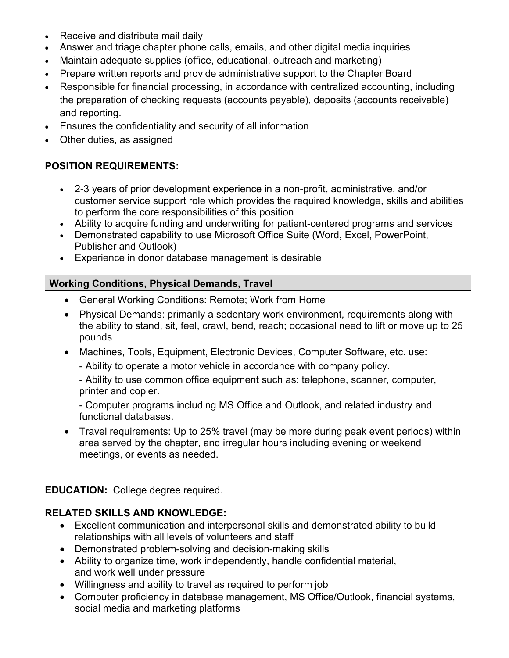- Receive and distribute mail daily
- Answer and triage chapter phone calls, emails, and other digital media inquiries
- Maintain adequate supplies (office, educational, outreach and marketing)
- Prepare written reports and provide administrative support to the Chapter Board
- Responsible for financial processing, in accordance with centralized accounting, including the preparation of checking requests (accounts payable), deposits (accounts receivable) and reporting.
- Ensures the confidentiality and security of all information
- Other duties, as assigned

### **POSITION REQUIREMENTS:**

- 2-3 years of prior development experience in a non-profit, administrative, and/or customer service support role which provides the required knowledge, skills and abilities to perform the core responsibilities of this position
- Ability to acquire funding and underwriting for patient-centered programs and services
- Demonstrated capability to use Microsoft Office Suite (Word, Excel, PowerPoint, Publisher and Outlook)
- Experience in donor database management is desirable

### **Working Conditions, Physical Demands, Travel**

- General Working Conditions: Remote; Work from Home
- Physical Demands: primarily a sedentary work environment, requirements along with the ability to stand, sit, feel, crawl, bend, reach; occasional need to lift or move up to 25 pounds
- Machines, Tools, Equipment, Electronic Devices, Computer Software, etc. use:
	- Ability to operate a motor vehicle in accordance with company policy.
	- Ability to use common office equipment such as: telephone, scanner, computer, printer and copier.
	- Computer programs including MS Office and Outlook, and related industry and functional databases.
- Travel requirements: Up to 25% travel (may be more during peak event periods) within area served by the chapter, and irregular hours including evening or weekend meetings, or events as needed.

#### **EDUCATION:** College degree required.

# **RELATED SKILLS AND KNOWLEDGE:**

- Excellent communication and interpersonal skills and demonstrated ability to build relationships with all levels of volunteers and staff
- Demonstrated problem-solving and decision-making skills
- Ability to organize time, work independently, handle confidential material, and work well under pressure
- Willingness and ability to travel as required to perform job
- Computer proficiency in database management, MS Office/Outlook, financial systems, social media and marketing platforms